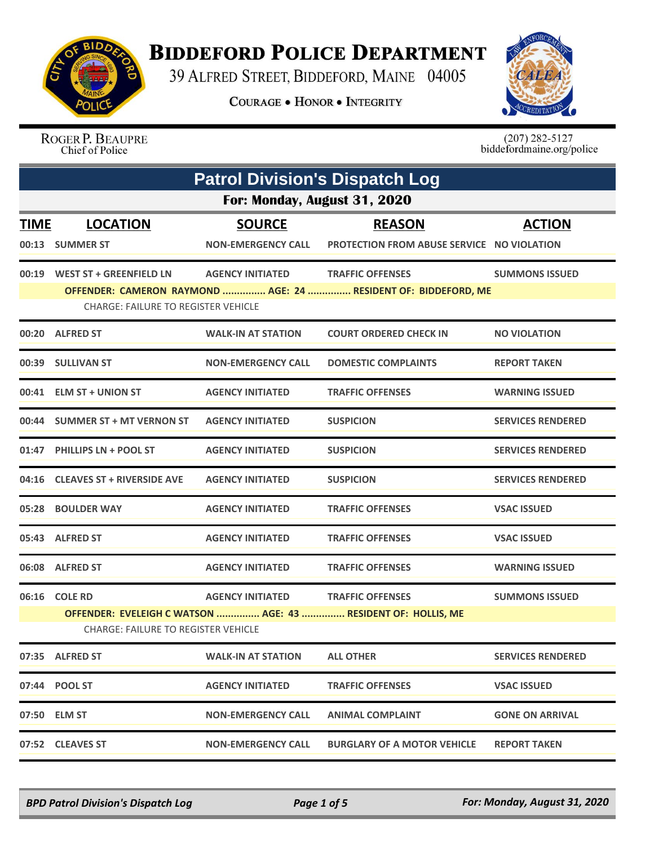

## **BIDDEFORD POLICE DEPARTMENT**

39 ALFRED STREET, BIDDEFORD, MAINE 04005

**COURAGE . HONOR . INTEGRITY** 



ROGER P. BEAUPRE Chief of Police

 $(207)$  282-5127<br>biddefordmaine.org/police

| <b>Patrol Division's Dispatch Log</b>                                                                       |                                            |                           |                                                                |                          |  |
|-------------------------------------------------------------------------------------------------------------|--------------------------------------------|---------------------------|----------------------------------------------------------------|--------------------------|--|
|                                                                                                             | For: Monday, August 31, 2020               |                           |                                                                |                          |  |
| <b>TIME</b>                                                                                                 | <b>LOCATION</b>                            | <b>SOURCE</b>             | <b>REASON</b>                                                  | <b>ACTION</b>            |  |
|                                                                                                             | 00:13 SUMMER ST                            | <b>NON-EMERGENCY CALL</b> | <b>PROTECTION FROM ABUSE SERVICE NO VIOLATION</b>              |                          |  |
|                                                                                                             | 00:19 WEST ST + GREENFIELD LN              | <b>AGENCY INITIATED</b>   | <b>TRAFFIC OFFENSES</b>                                        | <b>SUMMONS ISSUED</b>    |  |
|                                                                                                             | <b>CHARGE: FAILURE TO REGISTER VEHICLE</b> |                           | OFFENDER: CAMERON RAYMOND  AGE: 24  RESIDENT OF: BIDDEFORD, ME |                          |  |
|                                                                                                             | 00:20 ALFRED ST                            | <b>WALK-IN AT STATION</b> | <b>COURT ORDERED CHECK IN</b>                                  | <b>NO VIOLATION</b>      |  |
|                                                                                                             | 00:39 SULLIVAN ST                          | <b>NON-EMERGENCY CALL</b> | <b>DOMESTIC COMPLAINTS</b>                                     | <b>REPORT TAKEN</b>      |  |
|                                                                                                             | 00:41 ELM ST + UNION ST                    | <b>AGENCY INITIATED</b>   | <b>TRAFFIC OFFENSES</b>                                        | <b>WARNING ISSUED</b>    |  |
|                                                                                                             | 00:44 SUMMER ST + MT VERNON ST             | <b>AGENCY INITIATED</b>   | <b>SUSPICION</b>                                               | <b>SERVICES RENDERED</b> |  |
|                                                                                                             | 01:47 PHILLIPS LN + POOL ST                | <b>AGENCY INITIATED</b>   | <b>SUSPICION</b>                                               | <b>SERVICES RENDERED</b> |  |
|                                                                                                             | 04:16 CLEAVES ST + RIVERSIDE AVE           | <b>AGENCY INITIATED</b>   | <b>SUSPICION</b>                                               | <b>SERVICES RENDERED</b> |  |
|                                                                                                             | 05:28 BOULDER WAY                          | <b>AGENCY INITIATED</b>   | <b>TRAFFIC OFFENSES</b>                                        | <b>VSAC ISSUED</b>       |  |
|                                                                                                             | 05:43 ALFRED ST                            | <b>AGENCY INITIATED</b>   | <b>TRAFFIC OFFENSES</b>                                        | <b>VSAC ISSUED</b>       |  |
|                                                                                                             | 06:08 ALFRED ST                            | <b>AGENCY INITIATED</b>   | <b>TRAFFIC OFFENSES</b>                                        | <b>WARNING ISSUED</b>    |  |
|                                                                                                             | 06:16 COLE RD                              | <b>AGENCY INITIATED</b>   | <b>TRAFFIC OFFENSES</b>                                        | <b>SUMMONS ISSUED</b>    |  |
| OFFENDER: EVELEIGH C WATSON  AGE: 43  RESIDENT OF: HOLLIS, ME<br><b>CHARGE: FAILURE TO REGISTER VEHICLE</b> |                                            |                           |                                                                |                          |  |
|                                                                                                             | 07:35 ALFRED ST                            | <b>WALK-IN AT STATION</b> | <b>ALL OTHER</b>                                               | <b>SERVICES RENDERED</b> |  |
|                                                                                                             | 07:44 POOL ST                              | <b>AGENCY INITIATED</b>   | <b>TRAFFIC OFFENSES</b>                                        | <b>VSAC ISSUED</b>       |  |
|                                                                                                             | 07:50 ELM ST                               | NON-EMERGENCY CALL        | <b>ANIMAL COMPLAINT</b>                                        | <b>GONE ON ARRIVAL</b>   |  |
|                                                                                                             | 07:52 CLEAVES ST                           | <b>NON-EMERGENCY CALL</b> | <b>BURGLARY OF A MOTOR VEHICLE</b>                             | <b>REPORT TAKEN</b>      |  |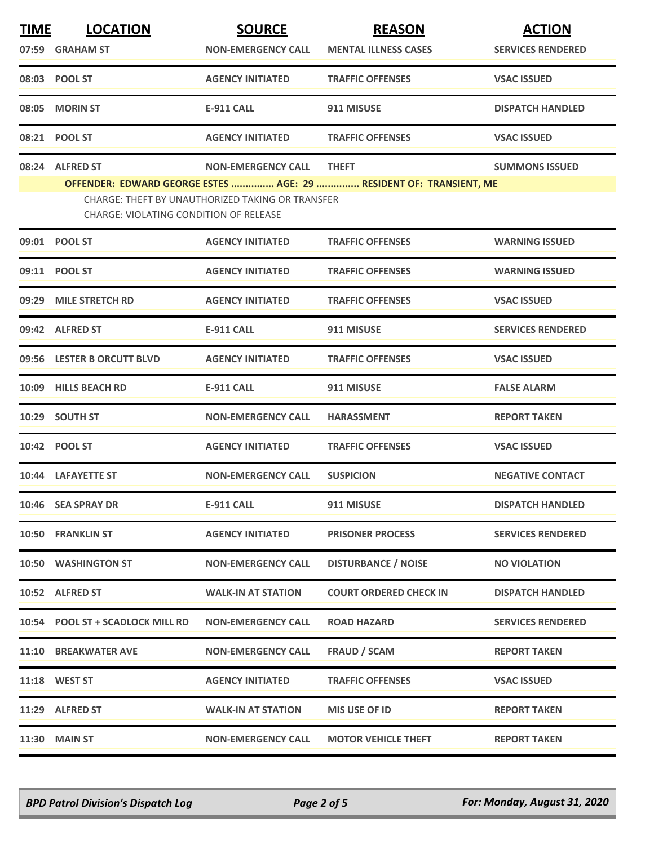| <b>TIME</b> | <b>LOCATION</b>                                                                            | <b>SOURCE</b>             | <b>REASON</b>                                                      | <b>ACTION</b>            |  |
|-------------|--------------------------------------------------------------------------------------------|---------------------------|--------------------------------------------------------------------|--------------------------|--|
|             | 07:59 GRAHAM ST                                                                            | <b>NON-EMERGENCY CALL</b> | <b>MENTAL ILLNESS CASES</b>                                        | <b>SERVICES RENDERED</b> |  |
|             | 08:03 POOL ST                                                                              | <b>AGENCY INITIATED</b>   | <b>TRAFFIC OFFENSES</b>                                            | <b>VSAC ISSUED</b>       |  |
|             | 08:05 MORIN ST                                                                             | <b>E-911 CALL</b>         | 911 MISUSE                                                         | <b>DISPATCH HANDLED</b>  |  |
|             | 08:21 POOL ST                                                                              | <b>AGENCY INITIATED</b>   | <b>TRAFFIC OFFENSES</b>                                            | <b>VSAC ISSUED</b>       |  |
|             | 08:24 ALFRED ST                                                                            | <b>NON-EMERGENCY CALL</b> | <b>THEFT</b>                                                       | <b>SUMMONS ISSUED</b>    |  |
|             |                                                                                            |                           | OFFENDER: EDWARD GEORGE ESTES  AGE: 29  RESIDENT OF: TRANSIENT, ME |                          |  |
|             | CHARGE: THEFT BY UNAUTHORIZED TAKING OR TRANSFER<br>CHARGE: VIOLATING CONDITION OF RELEASE |                           |                                                                    |                          |  |
|             | 09:01 POOL ST                                                                              | <b>AGENCY INITIATED</b>   | <b>TRAFFIC OFFENSES</b>                                            | <b>WARNING ISSUED</b>    |  |
|             | 09:11 POOL ST                                                                              | <b>AGENCY INITIATED</b>   | <b>TRAFFIC OFFENSES</b>                                            | <b>WARNING ISSUED</b>    |  |
|             | 09:29 MILE STRETCH RD                                                                      | <b>AGENCY INITIATED</b>   | <b>TRAFFIC OFFENSES</b>                                            | <b>VSAC ISSUED</b>       |  |
|             | 09:42 ALFRED ST                                                                            | <b>E-911 CALL</b>         | 911 MISUSE                                                         | <b>SERVICES RENDERED</b> |  |
|             | 09:56 LESTER B ORCUTT BLVD                                                                 | <b>AGENCY INITIATED</b>   | <b>TRAFFIC OFFENSES</b>                                            | <b>VSAC ISSUED</b>       |  |
|             | 10:09 HILLS BEACH RD                                                                       | <b>E-911 CALL</b>         | 911 MISUSE                                                         | <b>FALSE ALARM</b>       |  |
|             | 10:29 SOUTH ST                                                                             | <b>NON-EMERGENCY CALL</b> | <b>HARASSMENT</b>                                                  | <b>REPORT TAKEN</b>      |  |
|             | 10:42 POOL ST                                                                              | <b>AGENCY INITIATED</b>   | <b>TRAFFIC OFFENSES</b>                                            | <b>VSAC ISSUED</b>       |  |
|             | 10:44 LAFAYETTE ST                                                                         | <b>NON-EMERGENCY CALL</b> | <b>SUSPICION</b>                                                   | <b>NEGATIVE CONTACT</b>  |  |
|             | 10:46 SEA SPRAY DR                                                                         | E-911 CALL                | 911 MISUSE                                                         | <b>DISPATCH HANDLED</b>  |  |
|             | 10:50 FRANKLIN ST                                                                          | <b>AGENCY INITIATED</b>   | <b>PRISONER PROCESS</b>                                            | <b>SERVICES RENDERED</b> |  |
|             | 10:50 WASHINGTON ST                                                                        | <b>NON-EMERGENCY CALL</b> | <b>DISTURBANCE / NOISE</b>                                         | <b>NO VIOLATION</b>      |  |
|             | 10:52 ALFRED ST                                                                            | <b>WALK-IN AT STATION</b> | <b>COURT ORDERED CHECK IN</b>                                      | <b>DISPATCH HANDLED</b>  |  |
|             | 10:54 POOL ST + SCADLOCK MILL RD                                                           | <b>NON-EMERGENCY CALL</b> | <b>ROAD HAZARD</b>                                                 | <b>SERVICES RENDERED</b> |  |
|             | 11:10 BREAKWATER AVE                                                                       | <b>NON-EMERGENCY CALL</b> | <b>FRAUD / SCAM</b>                                                | <b>REPORT TAKEN</b>      |  |
|             | <b>11:18 WEST ST</b>                                                                       | <b>AGENCY INITIATED</b>   | <b>TRAFFIC OFFENSES</b>                                            | <b>VSAC ISSUED</b>       |  |
|             | 11:29 ALFRED ST                                                                            | <b>WALK-IN AT STATION</b> | MIS USE OF ID                                                      | <b>REPORT TAKEN</b>      |  |
|             | <b>11:30 MAIN ST</b>                                                                       | <b>NON-EMERGENCY CALL</b> | <b>MOTOR VEHICLE THEFT</b>                                         | <b>REPORT TAKEN</b>      |  |

*BPD Patrol Division's Dispatch Log Page 2 of 5 For: Monday, August 31, 2020*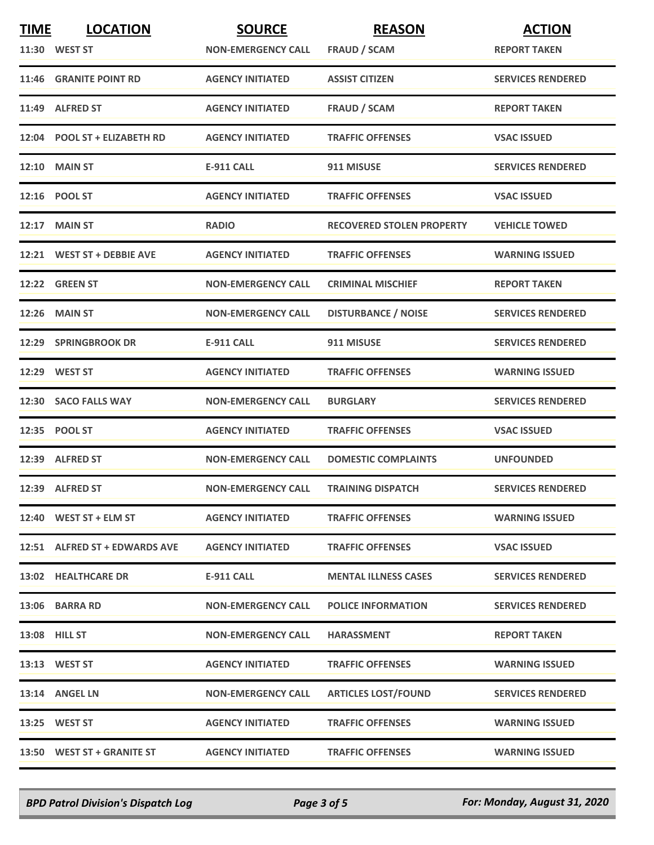| <b>TIME</b> | <b>LOCATION</b>               | <b>SOURCE</b>             | <b>REASON</b>                    | <b>ACTION</b>            |
|-------------|-------------------------------|---------------------------|----------------------------------|--------------------------|
|             | 11:30 WEST ST                 | <b>NON-EMERGENCY CALL</b> | <b>FRAUD / SCAM</b>              | <b>REPORT TAKEN</b>      |
|             | 11:46 GRANITE POINT RD        | <b>AGENCY INITIATED</b>   | <b>ASSIST CITIZEN</b>            | <b>SERVICES RENDERED</b> |
|             | 11:49 ALFRED ST               | <b>AGENCY INITIATED</b>   | <b>FRAUD / SCAM</b>              | <b>REPORT TAKEN</b>      |
|             | 12:04 POOL ST + ELIZABETH RD  | <b>AGENCY INITIATED</b>   | <b>TRAFFIC OFFENSES</b>          | <b>VSAC ISSUED</b>       |
|             | <b>12:10 MAIN ST</b>          | <b>E-911 CALL</b>         | 911 MISUSE                       | <b>SERVICES RENDERED</b> |
|             | 12:16 POOL ST                 | <b>AGENCY INITIATED</b>   | <b>TRAFFIC OFFENSES</b>          | <b>VSAC ISSUED</b>       |
| 12:17       | <b>MAIN ST</b>                | <b>RADIO</b>              | <b>RECOVERED STOLEN PROPERTY</b> | <b>VEHICLE TOWED</b>     |
|             | 12:21 WEST ST + DEBBIE AVE    | <b>AGENCY INITIATED</b>   | <b>TRAFFIC OFFENSES</b>          | <b>WARNING ISSUED</b>    |
|             | 12:22 GREEN ST                | <b>NON-EMERGENCY CALL</b> | <b>CRIMINAL MISCHIEF</b>         | <b>REPORT TAKEN</b>      |
| 12:26       | <b>MAIN ST</b>                | <b>NON-EMERGENCY CALL</b> | <b>DISTURBANCE / NOISE</b>       | <b>SERVICES RENDERED</b> |
|             | 12:29 SPRINGBROOK DR          | E-911 CALL                | 911 MISUSE                       | <b>SERVICES RENDERED</b> |
|             | 12:29 WEST ST                 | <b>AGENCY INITIATED</b>   | <b>TRAFFIC OFFENSES</b>          | <b>WARNING ISSUED</b>    |
|             | 12:30 SACO FALLS WAY          | <b>NON-EMERGENCY CALL</b> | <b>BURGLARY</b>                  | <b>SERVICES RENDERED</b> |
|             | 12:35 POOL ST                 | <b>AGENCY INITIATED</b>   | <b>TRAFFIC OFFENSES</b>          | <b>VSAC ISSUED</b>       |
|             | 12:39 ALFRED ST               | <b>NON-EMERGENCY CALL</b> | <b>DOMESTIC COMPLAINTS</b>       | <b>UNFOUNDED</b>         |
|             | 12:39 ALFRED ST               | <b>NON-EMERGENCY CALL</b> | <b>TRAINING DISPATCH</b>         | <b>SERVICES RENDERED</b> |
|             | 12:40 WEST ST + ELM ST        | <b>AGENCY INITIATED</b>   | <b>TRAFFIC OFFENSES</b>          | <b>WARNING ISSUED</b>    |
|             | 12:51 ALFRED ST + EDWARDS AVE | <b>AGENCY INITIATED</b>   | <b>TRAFFIC OFFENSES</b>          | <b>VSAC ISSUED</b>       |
|             | 13:02 HEALTHCARE DR           | E-911 CALL                | <b>MENTAL ILLNESS CASES</b>      | <b>SERVICES RENDERED</b> |
|             | 13:06 BARRA RD                | <b>NON-EMERGENCY CALL</b> | <b>POLICE INFORMATION</b>        | <b>SERVICES RENDERED</b> |
|             | <b>13:08 HILL ST</b>          | <b>NON-EMERGENCY CALL</b> | <b>HARASSMENT</b>                | <b>REPORT TAKEN</b>      |
|             | 13:13 WEST ST                 | <b>AGENCY INITIATED</b>   | <b>TRAFFIC OFFENSES</b>          | <b>WARNING ISSUED</b>    |
|             | 13:14 ANGEL LN                | <b>NON-EMERGENCY CALL</b> | <b>ARTICLES LOST/FOUND</b>       | <b>SERVICES RENDERED</b> |
|             | 13:25 WEST ST                 | <b>AGENCY INITIATED</b>   | <b>TRAFFIC OFFENSES</b>          | <b>WARNING ISSUED</b>    |
|             | 13:50 WEST ST + GRANITE ST    | <b>AGENCY INITIATED</b>   | <b>TRAFFIC OFFENSES</b>          | <b>WARNING ISSUED</b>    |

*BPD Patrol Division's Dispatch Log Page 3 of 5 For: Monday, August 31, 2020*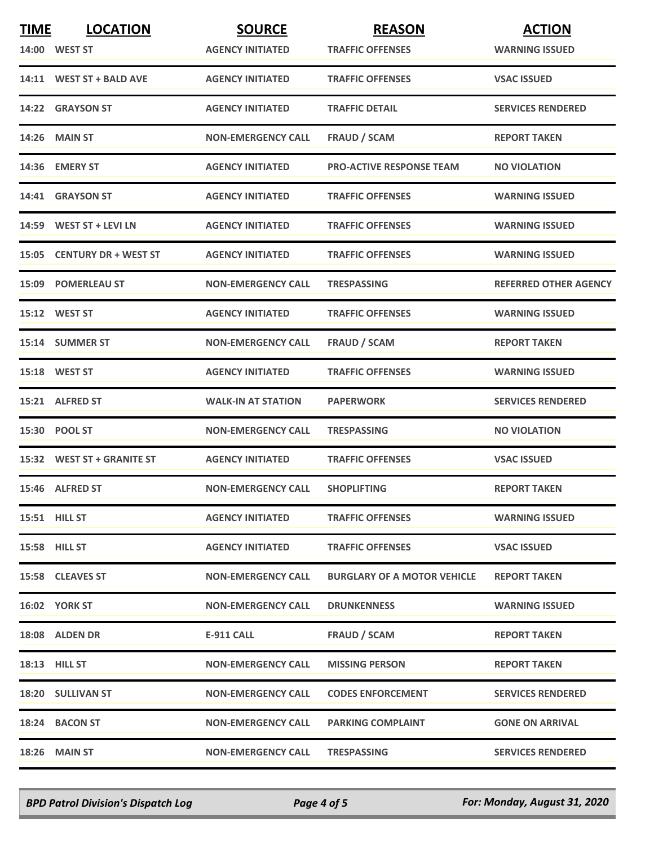| <b>TIME</b> | <b>LOCATION</b>            | <b>SOURCE</b>             | <b>REASON</b>                      | <b>ACTION</b>                |
|-------------|----------------------------|---------------------------|------------------------------------|------------------------------|
|             | <b>14:00 WEST ST</b>       | <b>AGENCY INITIATED</b>   | <b>TRAFFIC OFFENSES</b>            | <b>WARNING ISSUED</b>        |
|             | 14:11 WEST ST + BALD AVE   | <b>AGENCY INITIATED</b>   | <b>TRAFFIC OFFENSES</b>            | <b>VSAC ISSUED</b>           |
|             | 14:22 GRAYSON ST           | <b>AGENCY INITIATED</b>   | <b>TRAFFIC DETAIL</b>              | <b>SERVICES RENDERED</b>     |
|             | <b>14:26 MAIN ST</b>       | <b>NON-EMERGENCY CALL</b> | <b>FRAUD / SCAM</b>                | <b>REPORT TAKEN</b>          |
|             | 14:36 EMERY ST             | <b>AGENCY INITIATED</b>   | <b>PRO-ACTIVE RESPONSE TEAM</b>    | <b>NO VIOLATION</b>          |
|             | 14:41 GRAYSON ST           | <b>AGENCY INITIATED</b>   | <b>TRAFFIC OFFENSES</b>            | <b>WARNING ISSUED</b>        |
|             | 14:59 WEST ST + LEVI LN    | <b>AGENCY INITIATED</b>   | <b>TRAFFIC OFFENSES</b>            | <b>WARNING ISSUED</b>        |
|             | 15:05 CENTURY DR + WEST ST | <b>AGENCY INITIATED</b>   | <b>TRAFFIC OFFENSES</b>            | <b>WARNING ISSUED</b>        |
|             | <b>15:09 POMERLEAU ST</b>  | <b>NON-EMERGENCY CALL</b> | <b>TRESPASSING</b>                 | <b>REFERRED OTHER AGENCY</b> |
|             | 15:12 WEST ST              | <b>AGENCY INITIATED</b>   | <b>TRAFFIC OFFENSES</b>            | <b>WARNING ISSUED</b>        |
|             | 15:14 SUMMER ST            | <b>NON-EMERGENCY CALL</b> | <b>FRAUD / SCAM</b>                | <b>REPORT TAKEN</b>          |
|             | 15:18 WEST ST              | <b>AGENCY INITIATED</b>   | <b>TRAFFIC OFFENSES</b>            | <b>WARNING ISSUED</b>        |
|             | 15:21 ALFRED ST            | <b>WALK-IN AT STATION</b> | <b>PAPERWORK</b>                   | <b>SERVICES RENDERED</b>     |
|             | 15:30 POOL ST              | <b>NON-EMERGENCY CALL</b> | <b>TRESPASSING</b>                 | <b>NO VIOLATION</b>          |
|             | 15:32 WEST ST + GRANITE ST | <b>AGENCY INITIATED</b>   | <b>TRAFFIC OFFENSES</b>            | <b>VSAC ISSUED</b>           |
|             | 15:46 ALFRED ST            | <b>NON-EMERGENCY CALL</b> | <b>SHOPLIFTING</b>                 | <b>REPORT TAKEN</b>          |
|             | 15:51 HILL ST              | <b>AGENCY INITIATED</b>   | <b>TRAFFIC OFFENSES</b>            | <b>WARNING ISSUED</b>        |
|             | <b>15:58 HILL ST</b>       | <b>AGENCY INITIATED</b>   | <b>TRAFFIC OFFENSES</b>            | <b>VSAC ISSUED</b>           |
|             | 15:58 CLEAVES ST           | <b>NON-EMERGENCY CALL</b> | <b>BURGLARY OF A MOTOR VEHICLE</b> | <b>REPORT TAKEN</b>          |
|             | <b>16:02 YORK ST</b>       | <b>NON-EMERGENCY CALL</b> | <b>DRUNKENNESS</b>                 | <b>WARNING ISSUED</b>        |
|             | 18:08 ALDEN DR             | E-911 CALL                | <b>FRAUD / SCAM</b>                | <b>REPORT TAKEN</b>          |
|             | <b>18:13 HILL ST</b>       | <b>NON-EMERGENCY CALL</b> | <b>MISSING PERSON</b>              | <b>REPORT TAKEN</b>          |
|             | <b>18:20 SULLIVAN ST</b>   | <b>NON-EMERGENCY CALL</b> | <b>CODES ENFORCEMENT</b>           | <b>SERVICES RENDERED</b>     |
|             | 18:24 BACON ST             | <b>NON-EMERGENCY CALL</b> | <b>PARKING COMPLAINT</b>           | <b>GONE ON ARRIVAL</b>       |
|             | 18:26 MAIN ST              | <b>NON-EMERGENCY CALL</b> | <b>TRESPASSING</b>                 | <b>SERVICES RENDERED</b>     |

*BPD Patrol Division's Dispatch Log Page 4 of 5 For: Monday, August 31, 2020*